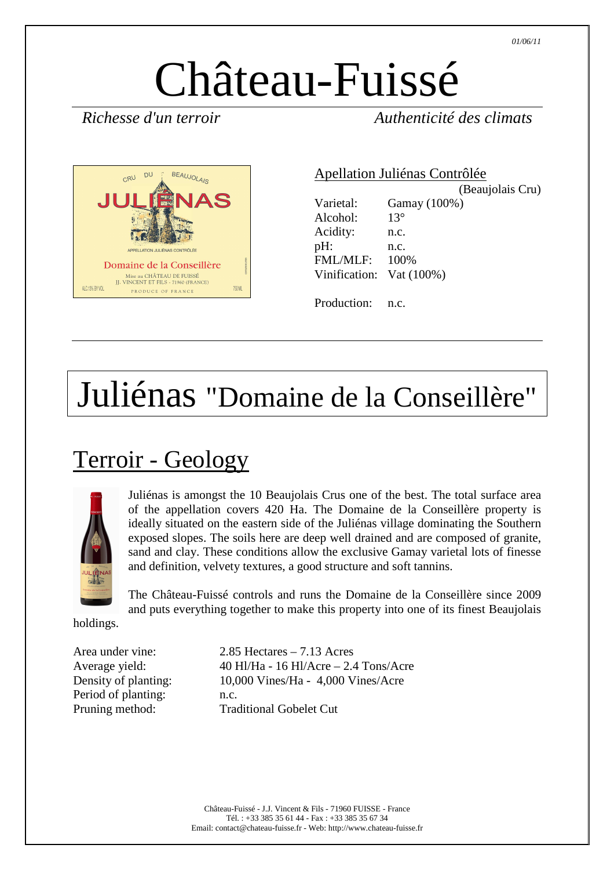# Château-Fuissé

*Richesse d'un terroir Authenticité des climats* 



Apellation Juliénas Contrôlée (Beaujolais Cru) Varietal: Gamay (100%) Alcohol: 13° Acidity: n.c. pH: n.c. FML/MLF: 100% Vinification: Vat (100%) Production: n.c.

## Juliénas "Domaine de la Conseillère"

#### Terroir - Geology



Juliénas is amongst the 10 Beaujolais Crus one of the best. The total surface area of the appellation covers 420 Ha. The Domaine de la Conseillère property is ideally situated on the eastern side of the Juliénas village dominating the Southern exposed slopes. The soils here are deep well drained and are composed of granite, sand and clay. These conditions allow the exclusive Gamay varietal lots of finesse and definition, velvety textures, a good structure and soft tannins.

The Château-Fuissé controls and runs the Domaine de la Conseillère since 2009 and puts everything together to make this property into one of its finest Beaujolais

holdings.

| Area under vine:     | 2.85 |
|----------------------|------|
| Average yield:       | 40 F |
| Density of planting: | 10,0 |
| Period of planting:  | n.c. |
| Pruning method:      | Trac |

 $2.85$  Hectares – 7.13 Acres  $40$  Hl/Ha - 16 Hl/Acre – 2.4 Tons/Acre  $10,000$  Vines/Ha - 4,000 Vines/Acre **Traditional Gobelet Cut**